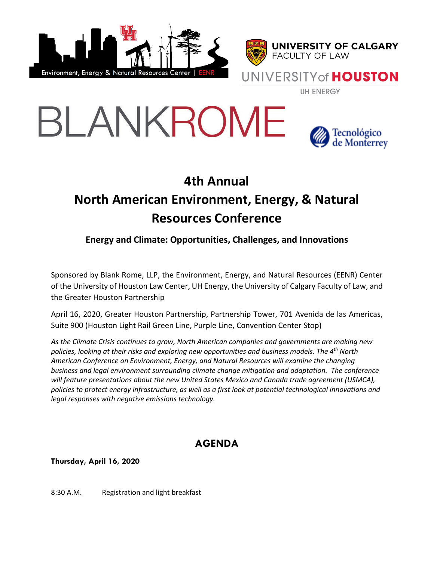







## **4th Annual North American Environment, Energy, & Natural Resources Conference**

**Energy and Climate: Opportunities, Challenges, and Innovations**

Sponsored by Blank Rome, LLP, the Environment, Energy, and Natural Resources (EENR) Center of the University of Houston Law Center, UH Energy, the University of Calgary Faculty of Law, and the Greater Houston Partnership

April 16, 2020, Greater Houston Partnership, Partnership Tower, 701 Avenida de las Americas, Suite 900 (Houston Light Rail Green Line, Purple Line, Convention Center Stop)

*As the Climate Crisis continues to grow, North American companies and governments are making new policies, looking at their risks and exploring new opportunities and business models. The 4th North American Conference on Environment, Energy, and Natural Resources will examine the changing business and legal environment surrounding climate change mitigation and adaptation. The conference will feature presentations about the new United States Mexico and Canada trade agreement (USMCA), policies to protect energy infrastructure, as well as a first look at potential technological innovations and legal responses with negative emissions technology.*

## **AGENDA**

**Thursday, April 16, 2020**

8:30 A.M. Registration and light breakfast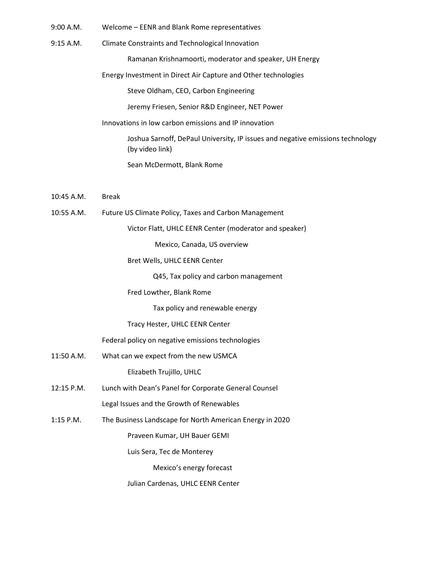- 9:00 A.M. Welcome EENR and Blank Rome representatives
- 9:15 A.M. Climate Constraints and Technological Innovation

Ramanan Krishnamoorti, moderator and speaker, UH Energy

Energy Investment in Direct Air Capture and Other technologies

Steve Oldham, CEO, Carbon Engineering

Jeremy Friesen, Senior R&D Engineer, NET Power

Innovations in low carbon emissions and IP innovation

Joshua Sarnoff, DePaul University, IP issues and negative emissions technology (by video link)

Sean McDermott, Blank Rome

- 10:45 A.M. Break
- 10:55 A.M. Future US Climate Policy, Taxes and Carbon Management

Victor Flatt, UHLC EENR Center (moderator and speaker)

Mexico, Canada, US overview

Bret Wells, UHLC EENR Center

Q45, Tax policy and carbon management

Fred Lowther, Blank Rome

Tax policy and renewable energy

Tracy Hester, UHLC EENR Center

Federal policy on negative emissions technologies

11:50 A.M. What can we expect from the new USMCA

Elizabeth Trujillo, UHLC

- 12:15 P.M. Lunch with Dean's Panel for Corporate General Counsel Legal Issues and the Growth of Renewables
- 1:15 P.M. The Business Landscape for North American Energy in 2020

Praveen Kumar, UH Bauer GEMI

Luis Sera, Tec de Monterey

Mexico's energy forecast

Julian Cardenas, UHLC EENR Center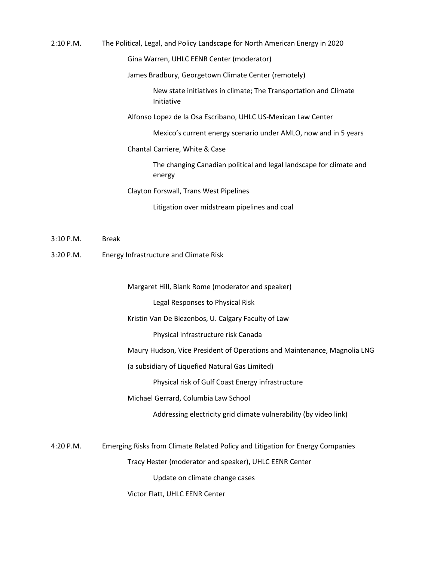| $2:10$ P.M. | The Political, Legal, and Policy Landscape for North American Energy in 2020   |
|-------------|--------------------------------------------------------------------------------|
|             | Gina Warren, UHLC EENR Center (moderator)                                      |
|             | James Bradbury, Georgetown Climate Center (remotely)                           |
|             | New state initiatives in climate; The Transportation and Climate<br>Initiative |
|             | Alfonso Lopez de la Osa Escribano, UHLC US-Mexican Law Center                  |
|             | Mexico's current energy scenario under AMLO, now and in 5 years                |
|             | Chantal Carriere, White & Case                                                 |
|             | The changing Canadian political and legal landscape for climate and<br>energy  |
|             | Clayton Forswall, Trans West Pipelines                                         |
|             | Litigation over midstream pipelines and coal                                   |

- 3:10 P.M. Break
- 3:20 P.M. Energy Infrastructure and Climate Risk

Margaret Hill, Blank Rome (moderator and speaker)

Legal Responses to Physical Risk

Kristin Van De Biezenbos, U. Calgary Faculty of Law

Physical infrastructure risk Canada

Maury Hudson, Vice President of Operations and Maintenance, Magnolia LNG

(a subsidiary of Liquefied Natural Gas Limited)

Physical risk of Gulf Coast Energy infrastructure

Michael Gerrard, Columbia Law School

Addressing electricity grid climate vulnerability (by video link)

4:20 P.M. Emerging Risks from Climate Related Policy and Litigation for Energy Companies

Tracy Hester (moderator and speaker), UHLC EENR Center

Update on climate change cases

Victor Flatt, UHLC EENR Center